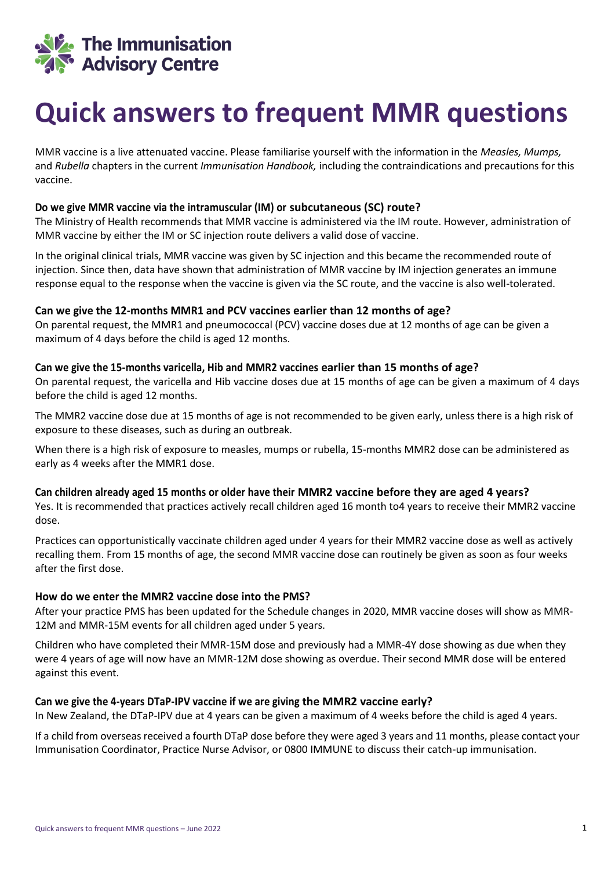

# **Quick answers to frequent MMR questions**

MMR vaccine is a live attenuated vaccine. Please familiarise yourself with the information in the *Measles, Mumps,*  and *Rubella* chapters in the current *Immunisation Handbook,* including the contraindications and precautions for this vaccine.

#### **Do we give MMR vaccine via the intramuscular (IM) or subcutaneous (SC) route?**

The Ministry of Health recommends that MMR vaccine is administered via the IM route. However, administration of MMR vaccine by either the IM or SC injection route delivers a valid dose of vaccine.

In the original clinical trials, MMR vaccine was given by SC injection and this became the recommended route of injection. Since then, data have shown that administration of MMR vaccine by IM injection generates an immune response equal to the response when the vaccine is given via the SC route, and the vaccine is also well-tolerated.

#### **Can we give the 12-months MMR1 and PCV vaccines earlier than 12 months of age?**

On parental request, the MMR1 and pneumococcal (PCV) vaccine doses due at 12 months of age can be given a maximum of 4 days before the child is aged 12 months.

#### **Can we give the 15-months varicella, Hib and MMR2 vaccines earlier than 15 months of age?**

On parental request, the varicella and Hib vaccine doses due at 15 months of age can be given a maximum of 4 days before the child is aged 12 months.

The MMR2 vaccine dose due at 15 months of age is not recommended to be given early, unless there is a high risk of exposure to these diseases, such as during an outbreak.

When there is a high risk of exposure to measles, mumps or rubella, 15-months MMR2 dose can be administered as early as 4 weeks after the MMR1 dose.

#### **Can children already aged 15 months or older have their MMR2 vaccine before they are aged 4 years?**

Yes. It is recommended that practices actively recall children aged 16 month to4 years to receive their MMR2 vaccine dose.

Practices can opportunistically vaccinate children aged under 4 years for their MMR2 vaccine dose as well as actively recalling them. From 15 months of age, the second MMR vaccine dose can routinely be given as soon as four weeks after the first dose.

#### **How do we enter the MMR2 vaccine dose into the PMS?**

After your practice PMS has been updated for the Schedule changes in 2020, MMR vaccine doses will show as MMR-12M and MMR-15M events for all children aged under 5 years.

Children who have completed their MMR-15M dose and previously had a MMR-4Y dose showing as due when they were 4 years of age will now have an MMR-12M dose showing as overdue. Their second MMR dose will be entered against this event.

#### **Can we give the 4-years DTaP-IPV vaccine if we are giving the MMR2 vaccine early?**

In New Zealand, the DTaP-IPV due at 4 years can be given a maximum of 4 weeks before the child is aged 4 years.

If a child from overseas received a fourth DTaP dose before they were aged 3 years and 11 months, please contact your Immunisation Coordinator, Practice Nurse Advisor, or 0800 IMMUNE to discuss their catch-up immunisation.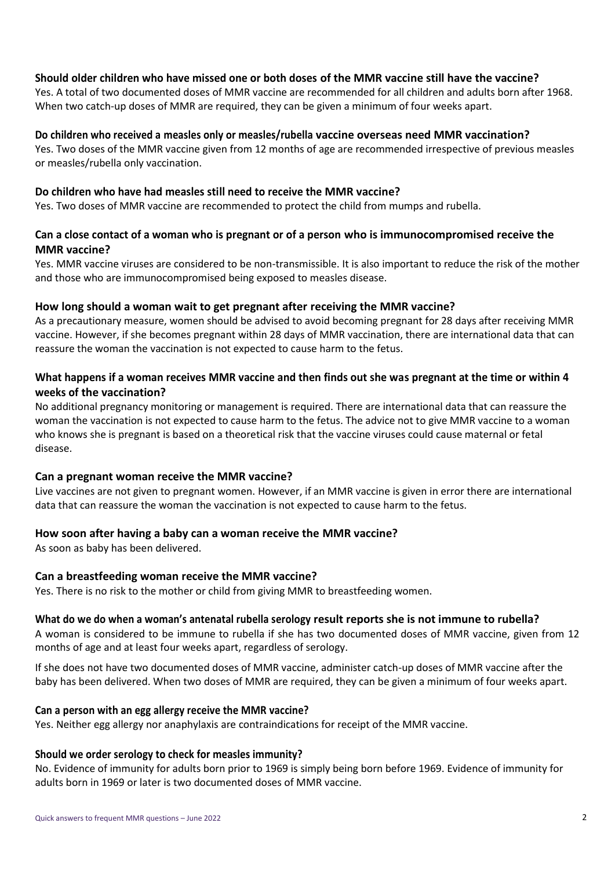#### **Should older children who have missed one or both doses of the MMR vaccine still have the vaccine?**

Yes. A total of two documented doses of MMR vaccine are recommended for all children and adults born after 1968. When two catch-up doses of MMR are required, they can be given a minimum of four weeks apart.

#### **Do children who received a measles only or measles/rubella vaccine overseas need MMR vaccination?**

Yes. Two doses of the MMR vaccine given from 12 months of age are recommended irrespective of previous measles or measles/rubella only vaccination.

#### **Do children who have had measles still need to receive the MMR vaccine?**

Yes. Two doses of MMR vaccine are recommended to protect the child from mumps and rubella.

# **Can a close contact of a woman who is pregnant or of a person who is immunocompromised receive the MMR vaccine?**

Yes. MMR vaccine viruses are considered to be non-transmissible. It is also important to reduce the risk of the mother and those who are immunocompromised being exposed to measles disease.

#### **How long should a woman wait to get pregnant after receiving the MMR vaccine?**

As a precautionary measure, women should be advised to avoid becoming pregnant for 28 days after receiving MMR vaccine. However, if she becomes pregnant within 28 days of MMR vaccination, there are international data that can reassure the woman the vaccination is not expected to cause harm to the fetus.

# **What happens if a woman receives MMR vaccine and then finds out she was pregnant at the time or within 4 weeks of the vaccination?**

No additional pregnancy monitoring or management is required. There are international data that can reassure the woman the vaccination is not expected to cause harm to the fetus. The advice not to give MMR vaccine to a woman who knows she is pregnant is based on a theoretical risk that the vaccine viruses could cause maternal or fetal disease.

#### **Can a pregnant woman receive the MMR vaccine?**

Live vaccines are not given to pregnant women. However, if an MMR vaccine is given in error there are international data that can reassure the woman the vaccination is not expected to cause harm to the fetus.

## **How soon after having a baby can a woman receive the MMR vaccine?**

As soon as baby has been delivered.

#### **Can a breastfeeding woman receive the MMR vaccine?**

Yes. There is no risk to the mother or child from giving MMR to breastfeeding women.

#### **What do we do when a woman's antenatal rubella serology result reports she is not immune to rubella?**

A woman is considered to be immune to rubella if she has two documented doses of MMR vaccine, given from 12 months of age and at least four weeks apart, regardless of serology.

If she does not have two documented doses of MMR vaccine, administer catch-up doses of MMR vaccine after the baby has been delivered. When two doses of MMR are required, they can be given a minimum of four weeks apart.

#### **Can a person with an egg allergy receive the MMR vaccine?**

Yes. Neither egg allergy nor anaphylaxis are contraindications for receipt of the MMR vaccine.

#### **Should we order serology to check for measles immunity?**

No. Evidence of immunity for adults born prior to 1969 is simply being born before 1969. Evidence of immunity for adults born in 1969 or later is two documented doses of MMR vaccine.